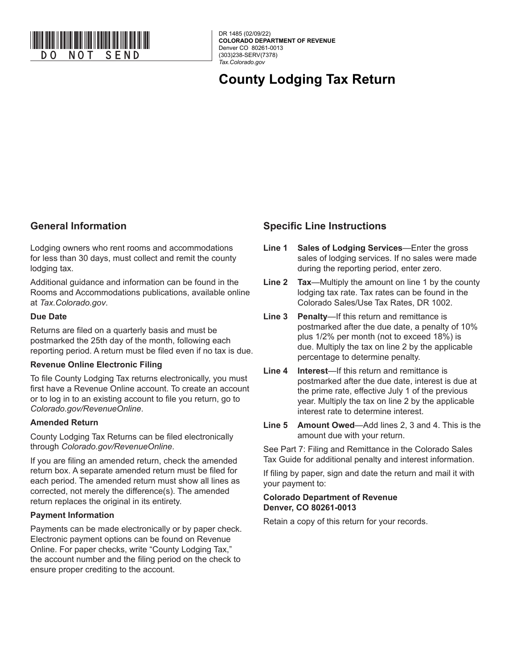

DR 1485 (02/09/22) **COLORADO DEPARTMENT OF REVENUE** Denver CO 80261-0013 (303)238-SERV(7378) *Tax.Colorado.gov*

# **County Lodging Tax Return**

## **General Information**

Lodging owners who rent rooms and accommodations for less than 30 days, must collect and remit the county lodging tax.

Additional guidance and information can be found in the Rooms and Accommodations publications, available online at *Tax.Colorado.gov*.

#### **Due Date**

Returns are filed on a quarterly basis and must be postmarked the 25th day of the month, following each reporting period. A return must be filed even if no tax is due.

### **Revenue Online Electronic Filing**

To file County Lodging Tax returns electronically, you must first have a Revenue Online account. To create an account or to log in to an existing account to file you return, go to *Colorado.gov/RevenueOnline*.

### **Amended Return**

County Lodging Tax Returns can be filed electronically through *Colorado.gov/RevenueOnline*.

If you are filing an amended return, check the amended return box. A separate amended return must be filed for each period. The amended return must show all lines as corrected, not merely the difference(s). The amended return replaces the original in its entirety.

### **Payment Information**

Payments can be made electronically or by paper check. Electronic payment options can be found on Revenue Online. For paper checks, write "County Lodging Tax," the account number and the filing period on the check to ensure proper crediting to the account.

## **Specific Line Instructions**

- **Line 1 Sales of Lodging Services**—Enter the gross sales of lodging services. If no sales were made during the reporting period, enter zero.
- **Line 2 Tax**—Multiply the amount on line 1 by the county lodging tax rate. Tax rates can be found in the Colorado Sales/Use Tax Rates, DR 1002.
- **Line 3 Penalty**—If this return and remittance is postmarked after the due date, a penalty of 10% plus 1/2% per month (not to exceed 18%) is due. Multiply the tax on line 2 by the applicable percentage to determine penalty.
- **Line 4 Interest**—If this return and remittance is postmarked after the due date, interest is due at the prime rate, effective July 1 of the previous year. Multiply the tax on line 2 by the applicable interest rate to determine interest.
- **Line 5 Amount Owed**—Add lines 2, 3 and 4. This is the amount due with your return.

See Part 7: Filing and Remittance in the Colorado Sales Tax Guide for additional penalty and interest information.

If filing by paper, sign and date the return and mail it with your payment to:

#### **Colorado Department of Revenue Denver, CO 80261-0013**

Retain a copy of this return for your records.